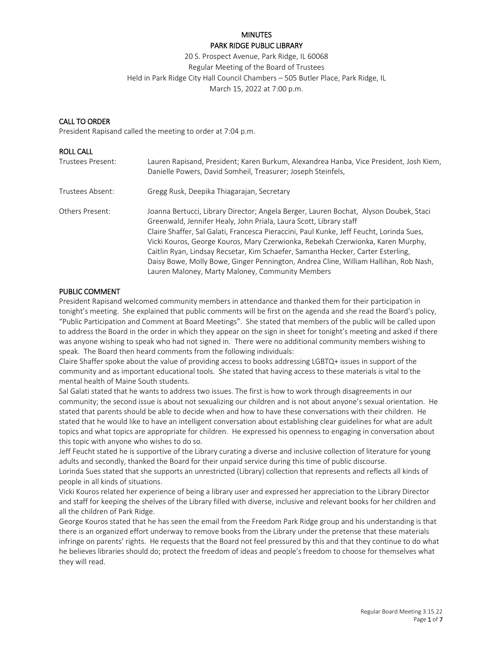20 S. Prospect Avenue, Park Ridge, IL 60068 Regular Meeting of the Board of Trustees Held in Park Ridge City Hall Council Chambers – 505 Butler Place, Park Ridge, IL March 15, 2022 at 7:00 p.m.

#### CALL TO ORDER

President Rapisand called the meeting to order at 7:04 p.m.

## ROLL CALL

| Trustees Present: | Lauren Rapisand, President; Karen Burkum, Alexandrea Hanba, Vice President, Josh Kiem,<br>Danielle Powers, David Somheil, Treasurer; Joseph Steinfels,                                                                                                                                                                                                                                                                                                                                                                                                                     |
|-------------------|----------------------------------------------------------------------------------------------------------------------------------------------------------------------------------------------------------------------------------------------------------------------------------------------------------------------------------------------------------------------------------------------------------------------------------------------------------------------------------------------------------------------------------------------------------------------------|
| Trustees Absent:  | Gregg Rusk, Deepika Thiagarajan, Secretary                                                                                                                                                                                                                                                                                                                                                                                                                                                                                                                                 |
| Others Present:   | Joanna Bertucci, Library Director; Angela Berger, Lauren Bochat, Alyson Doubek, Staci<br>Greenwald, Jennifer Healy, John Priala, Laura Scott, Library staff<br>Claire Shaffer, Sal Galati, Francesca Pieraccini, Paul Kunke, Jeff Feucht, Lorinda Sues,<br>Vicki Kouros, George Kouros, Mary Czerwionka, Rebekah Czerwionka, Karen Murphy,<br>Caitlin Ryan, Lindsay Recsetar, Kim Schaefer, Samantha Hecker, Carter Esterling,<br>Daisy Bowe, Molly Bowe, Ginger Pennington, Andrea Cline, William Hallihan, Rob Nash,<br>Lauren Maloney, Marty Maloney, Community Members |

#### PUBLIC COMMENT

President Rapisand welcomed community members in attendance and thanked them for their participation in tonight's meeting. She explained that public comments will be first on the agenda and she read the Board's policy, "Public Participation and Comment at Board Meetings". She stated that members of the public will be called upon to address the Board in the order in which they appear on the sign in sheet for tonight's meeting and asked if there was anyone wishing to speak who had not signed in. There were no additional community members wishing to speak. The Board then heard comments from the following individuals:

Claire Shaffer spoke about the value of providing access to books addressing LGBTQ+ issues in support of the community and as important educational tools. She stated that having access to these materials is vital to the mental health of Maine South students.

Sal Galati stated that he wants to address two issues. The first is how to work through disagreements in our community; the second issue is about not sexualizing our children and is not about anyone's sexual orientation. He stated that parents should be able to decide when and how to have these conversations with their children. He stated that he would like to have an intelligent conversation about establishing clear guidelines for what are adult topics and what topics are appropriate for children. He expressed his openness to engaging in conversation about this topic with anyone who wishes to do so.

Jeff Feucht stated he is supportive of the Library curating a diverse and inclusive collection of literature for young adults and secondly, thanked the Board for their unpaid service during this time of public discourse.

Lorinda Sues stated that she supports an unrestricted (Library) collection that represents and reflects all kinds of people in all kinds of situations.

Vicki Kouros related her experience of being a library user and expressed her appreciation to the Library Director and staff for keeping the shelves of the Library filled with diverse, inclusive and relevant books for her children and all the children of Park Ridge.

George Kouros stated that he has seen the email from the Freedom Park Ridge group and his understanding is that there is an organized effort underway to remove books from the Library under the pretense that these materials infringe on parents' rights. He requests that the Board not feel pressured by this and that they continue to do what he believes libraries should do; protect the freedom of ideas and people's freedom to choose for themselves what they will read.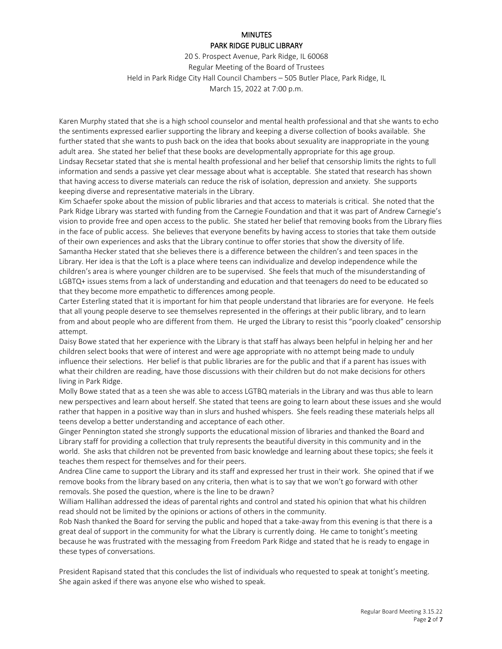20 S. Prospect Avenue, Park Ridge, IL 60068 Regular Meeting of the Board of Trustees Held in Park Ridge City Hall Council Chambers – 505 Butler Place, Park Ridge, IL March 15, 2022 at 7:00 p.m.

Karen Murphy stated that she is a high school counselor and mental health professional and that she wants to echo the sentiments expressed earlier supporting the library and keeping a diverse collection of books available. She further stated that she wants to push back on the idea that books about sexuality are inappropriate in the young adult area. She stated her belief that these books are developmentally appropriate for this age group. Lindsay Recsetar stated that she is mental health professional and her belief that censorship limits the rights to full information and sends a passive yet clear message about what is acceptable. She stated that research has shown that having access to diverse materials can reduce the risk of isolation, depression and anxiety. She supports keeping diverse and representative materials in the Library.

Kim Schaefer spoke about the mission of public libraries and that access to materials is critical. She noted that the Park Ridge Library was started with funding from the Carnegie Foundation and that it was part of Andrew Carnegie's vision to provide free and open access to the public. She stated her belief that removing books from the Library flies in the face of public access. She believes that everyone benefits by having access to stories that take them outside of their own experiences and asks that the Library continue to offer stories that show the diversity of life. Samantha Hecker stated that she believes there is a difference between the children's and teen spaces in the Library. Her idea is that the Loft is a place where teens can individualize and develop independence while the children's area is where younger children are to be supervised. She feels that much of the misunderstanding of LGBTQ+ issues stems from a lack of understanding and education and that teenagers do need to be educated so that they become more empathetic to differences among people.

Carter Esterling stated that it is important for him that people understand that libraries are for everyone. He feels that all young people deserve to see themselves represented in the offerings at their public library, and to learn from and about people who are different from them. He urged the Library to resist this "poorly cloaked" censorship attempt.

Daisy Bowe stated that her experience with the Library is that staff has always been helpful in helping her and her children select books that were of interest and were age appropriate with no attempt being made to unduly influence their selections. Her belief is that public libraries are for the public and that if a parent has issues with what their children are reading, have those discussions with their children but do not make decisions for others living in Park Ridge.

Molly Bowe stated that as a teen she was able to access LGTBQ materials in the Library and was thus able to learn new perspectives and learn about herself. She stated that teens are going to learn about these issues and she would rather that happen in a positive way than in slurs and hushed whispers. She feels reading these materials helps all teens develop a better understanding and acceptance of each other.

Ginger Pennington stated she strongly supports the educational mission of libraries and thanked the Board and Library staff for providing a collection that truly represents the beautiful diversity in this community and in the world. She asks that children not be prevented from basic knowledge and learning about these topics; she feels it teaches them respect for themselves and for their peers.

Andrea Cline came to support the Library and its staff and expressed her trust in their work. She opined that if we remove books from the library based on any criteria, then what is to say that we won't go forward with other removals. She posed the question, where is the line to be drawn?

William Hallihan addressed the ideas of parental rights and control and stated his opinion that what his children read should not be limited by the opinions or actions of others in the community.

Rob Nash thanked the Board for serving the public and hoped that a take-away from this evening is that there is a great deal of support in the community for what the Library is currently doing. He came to tonight's meeting because he was frustrated with the messaging from Freedom Park Ridge and stated that he is ready to engage in these types of conversations.

President Rapisand stated that this concludes the list of individuals who requested to speak at tonight's meeting. She again asked if there was anyone else who wished to speak.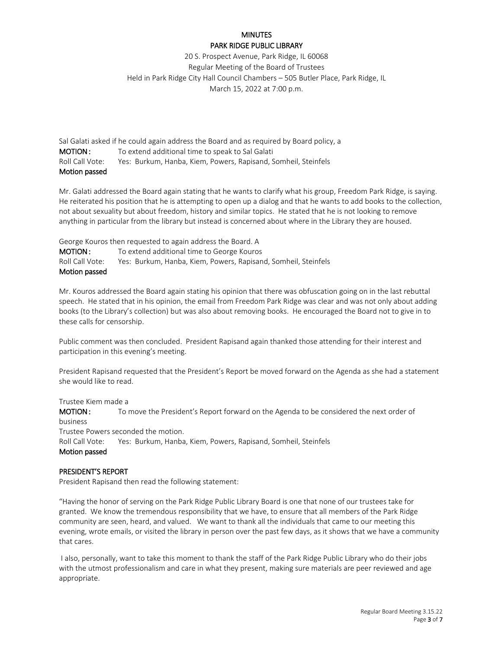20 S. Prospect Avenue, Park Ridge, IL 60068 Regular Meeting of the Board of Trustees Held in Park Ridge City Hall Council Chambers – 505 Butler Place, Park Ridge, IL March 15, 2022 at 7:00 p.m.

Sal Galati asked if he could again address the Board and as required by Board policy, a **MOTION:** To extend additional time to speak to Sal Galati Roll Call Vote: Yes: Burkum, Hanba, Kiem, Powers, Rapisand, Somheil, Steinfels Motion passed

Mr. Galati addressed the Board again stating that he wants to clarify what his group, Freedom Park Ridge, is saying. He reiterated his position that he is attempting to open up a dialog and that he wants to add books to the collection, not about sexuality but about freedom, history and similar topics. He stated that he is not looking to remove anything in particular from the library but instead is concerned about where in the Library they are housed.

George Kouros then requested to again address the Board. A

**MOTION:** To extend additional time to George Kouros Roll Call Vote: Yes: Burkum, Hanba, Kiem, Powers, Rapisand, Somheil, Steinfels Motion passed

Mr. Kouros addressed the Board again stating his opinion that there was obfuscation going on in the last rebuttal speech. He stated that in his opinion, the email from Freedom Park Ridge was clear and was not only about adding books (to the Library's collection) but was also about removing books. He encouraged the Board not to give in to these calls for censorship.

Public comment was then concluded. President Rapisand again thanked those attending for their interest and participation in this evening's meeting.

President Rapisand requested that the President's Report be moved forward on the Agenda as she had a statement she would like to read.

Trustee Kiem made a

MOTION: To move the President's Report forward on the Agenda to be considered the next order of business Trustee Powers seconded the motion. Roll Call Vote: Yes: Burkum, Hanba, Kiem, Powers, Rapisand, Somheil, Steinfels Motion passed

#### PRESIDENT'S REPORT

President Rapisand then read the following statement:

"Having the honor of serving on the Park Ridge Public Library Board is one that none of our trustees take for granted. We know the tremendous responsibility that we have, to ensure that all members of the Park Ridge community are seen, heard, and valued. We want to thank all the individuals that came to our meeting this evening, wrote emails, or visited the library in person over the past few days, as it shows that we have a community that cares.

I also, personally, want to take this moment to thank the staff of the Park Ridge Public Library who do their jobs with the utmost professionalism and care in what they present, making sure materials are peer reviewed and age appropriate.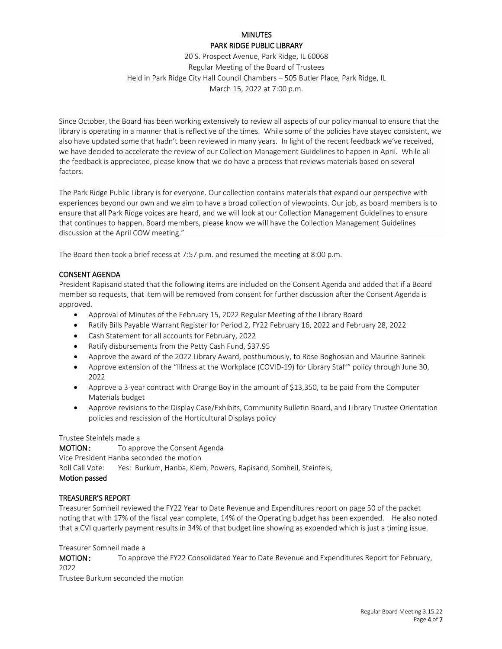20 S. Prospect Avenue, Park Ridge, IL 60068 Regular Meeting of the Board of Trustees Held in Park Ridge City Hall Council Chambers – 505 Butler Place, Park Ridge, IL March 15, 2022 at 7:00 p.m.

Since October, the Board has been working extensively to review all aspects of our policy manual to ensure that the library is operating in a manner that is reflective of the times. While some of the policies have stayed consistent, we also have updated some that hadn't been reviewed in many years. In light of the recent feedback we've received, we have decided to accelerate the review of our Collection Management Guidelines to happen in April. While all the feedback is appreciated, please know that we do have a process that reviews materials based on several factors.

The Park Ridge Public Library is for everyone. Our collection contains materials that expand our perspective with experiences beyond our own and we aim to have a broad collection of viewpoints. Our job, as board members is to ensure that all Park Ridge voices are heard, and we will look at our Collection Management Guidelines to ensure that continues to happen. Board members, please know we will have the Collection Management Guidelines discussion at the April COW meeting."

The Board then took a brief recess at 7:57 p.m. and resumed the meeting at 8:00 p.m.

## CONSENT AGENDA

President Rapisand stated that the following items are included on the Consent Agenda and added that if a Board member so requests, that item will be removed from consent for further discussion after the Consent Agenda is approved.

- Approval of Minutes of the February 15, 2022 Regular Meeting of the Library Board
- Ratify Bills Payable Warrant Register for Period 2, FY22 February 16, 2022 and February 28, 2022
- Cash Statement for all accounts for February, 2022
- Ratify disbursements from the Petty Cash Fund, \$37.95
- Approve the award of the 2022 Library Award, posthumously, to Rose Boghosian and Maurine Barinek
- Approve extension of the "Illness at the Workplace (COVID-19) for Library Staff" policy through June 30, 2022
- Approve a 3-year contract with Orange Boy in the amount of \$13,350, to be paid from the Computer Materials budget
- Approve revisions to the Display Case/Exhibits, Community Bulletin Board, and Library Trustee Orientation policies and rescission of the Horticultural Displays policy

#### Trustee Steinfels made a

**MOTION:** To approve the Consent Agenda Vice President Hanba seconded the motion Roll Call Vote: Yes: Burkum, Hanba, Kiem, Powers, Rapisand, Somheil, Steinfels, Motion passed

## TREASURER'S REPORT

Treasurer Somheil reviewed the FY22 Year to Date Revenue and Expenditures report on page 50 of the packet noting that with 17% of the fiscal year complete, 14% of the Operating budget has been expended. He also noted that a CVI quarterly payment results in 34% of that budget line showing as expended which is just a timing issue.

#### Treasurer Somheil made a

MOTION: To approve the FY22 Consolidated Year to Date Revenue and Expenditures Report for February,  $2022$ 

Trustee Burkum seconded the motion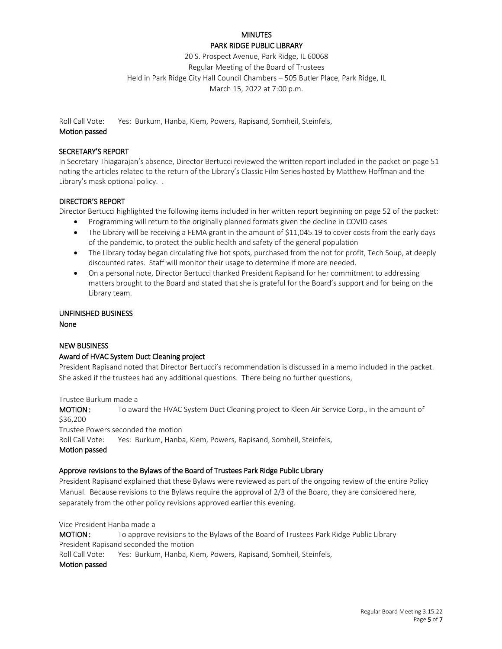20 S. Prospect Avenue, Park Ridge, IL 60068 Regular Meeting of the Board of Trustees Held in Park Ridge City Hall Council Chambers – 505 Butler Place, Park Ridge, IL March 15, 2022 at 7:00 p.m.

Roll Call Vote: Yes: Burkum, Hanba, Kiem, Powers, Rapisand, Somheil, Steinfels, Motion passed

#### SECRETARY'S REPORT

In Secretary Thiagarajan's absence, Director Bertucci reviewed the written report included in the packet on page 51 noting the articles related to the return of the Library's Classic Film Series hosted by Matthew Hoffman and the Library's mask optional policy. .

#### DIRECTOR'S REPORT

Director Bertucci highlighted the following items included in her written report beginning on page 52 of the packet:

- Programming will return to the originally planned formats given the decline in COVID cases
- The Library will be receiving a FEMA grant in the amount of \$11,045.19 to cover costs from the early days of the pandemic, to protect the public health and safety of the general population
- The Library today began circulating five hot spots, purchased from the not for profit, Tech Soup, at deeply discounted rates. Staff will monitor their usage to determine if more are needed.
- On a personal note, Director Bertucci thanked President Rapisand for her commitment to addressing matters brought to the Board and stated that she is grateful for the Board's support and for being on the Library team.

# UNFINISHED BUSINESS

None

## NEW BUSINESS

## Award of HVAC System Duct Cleaning project

President Rapisand noted that Director Bertucci's recommendation is discussed in a memo included in the packet. She asked if the trustees had any additional questions. There being no further questions,

Trustee Burkum made a

MOTION : To award the HVAC System Duct Cleaning project to Kleen Air Service Corp., in the amount of \$36,200 Trustee Powers seconded the motion Roll Call Vote: Yes: Burkum, Hanba, Kiem, Powers, Rapisand, Somheil, Steinfels,

Motion passed

#### Approve revisions to the Bylaws of the Board of Trustees Park Ridge Public Library

President Rapisand explained that these Bylaws were reviewed as part of the ongoing review of the entire Policy Manual. Because revisions to the Bylaws require the approval of 2/3 of the Board, they are considered here, separately from the other policy revisions approved earlier this evening.

Vice President Hanba made a

MOTION : To approve revisions to the Bylaws of the Board of Trustees Park Ridge Public Library President Rapisand seconded the motion

Roll Call Vote: Yes: Burkum, Hanba, Kiem, Powers, Rapisand, Somheil, Steinfels,

Motion passed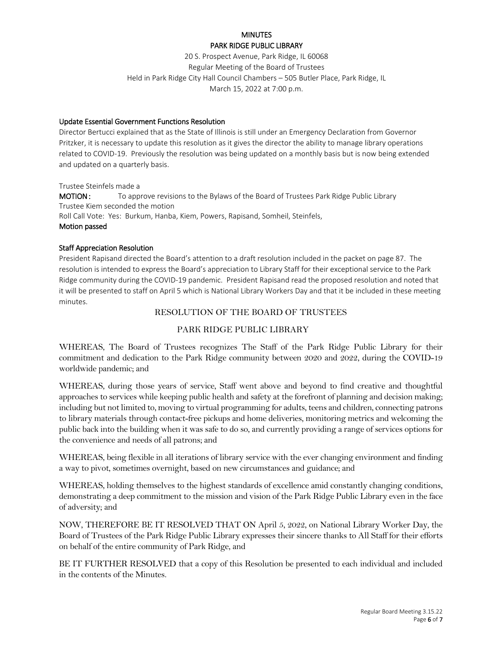20 S. Prospect Avenue, Park Ridge, IL 60068 Regular Meeting of the Board of Trustees Held in Park Ridge City Hall Council Chambers – 505 Butler Place, Park Ridge, IL March 15, 2022 at 7:00 p.m.

#### Update Essential Government Functions Resolution

Director Bertucci explained that as the State of Illinois is still under an Emergency Declaration from Governor Pritzker, it is necessary to update this resolution as it gives the director the ability to manage library operations related to COVID-19. Previously the resolution was being updated on a monthly basis but is now being extended and updated on a quarterly basis.

Trustee Steinfels made a

**MOTION :** To approve revisions to the Bylaws of the Board of Trustees Park Ridge Public Library Trustee Kiem seconded the motion Roll Call Vote: Yes: Burkum, Hanba, Kiem, Powers, Rapisand, Somheil, Steinfels, Motion passed

## Staff Appreciation Resolution

President Rapisand directed the Board's attention to a draft resolution included in the packet on page 87. The resolution is intended to express the Board's appreciation to Library Staff for their exceptional service to the Park Ridge community during the COVID-19 pandemic. President Rapisand read the proposed resolution and noted that it will be presented to staff on April 5 which is National Library Workers Day and that it be included in these meeting minutes.

## RESOLUTION OF THE BOARD OF TRUSTEES

## PARK RIDGE PUBLIC LIBRARY

WHEREAS, The Board of Trustees recognizes The Staff of the Park Ridge Public Library for their commitment and dedication to the Park Ridge community between 2020 and 2022, during the COVID-19 worldwide pandemic; and

WHEREAS, during those years of service, Staff went above and beyond to find creative and thoughtful approaches to services while keeping public health and safety at the forefront of planning and decision making; including but not limited to, moving to virtual programming for adults, teens and children, connecting patrons to library materials through contact-free pickups and home deliveries, monitoring metrics and welcoming the public back into the building when it was safe to do so, and currently providing a range of services options for the convenience and needs of all patrons; and

WHEREAS, being flexible in all iterations of library service with the ever changing environment and finding a way to pivot, sometimes overnight, based on new circumstances and guidance; and

WHEREAS, holding themselves to the highest standards of excellence amid constantly changing conditions, demonstrating a deep commitment to the mission and vision of the Park Ridge Public Library even in the face of adversity; and

NOW, THEREFORE BE IT RESOLVED THAT ON April 5, 2022, on National Library Worker Day, the Board of Trustees of the Park Ridge Public Library expresses their sincere thanks to All Staff for their efforts on behalf of the entire community of Park Ridge, and

BE IT FURTHER RESOLVED that a copy of this Resolution be presented to each individual and included in the contents of the Minutes.